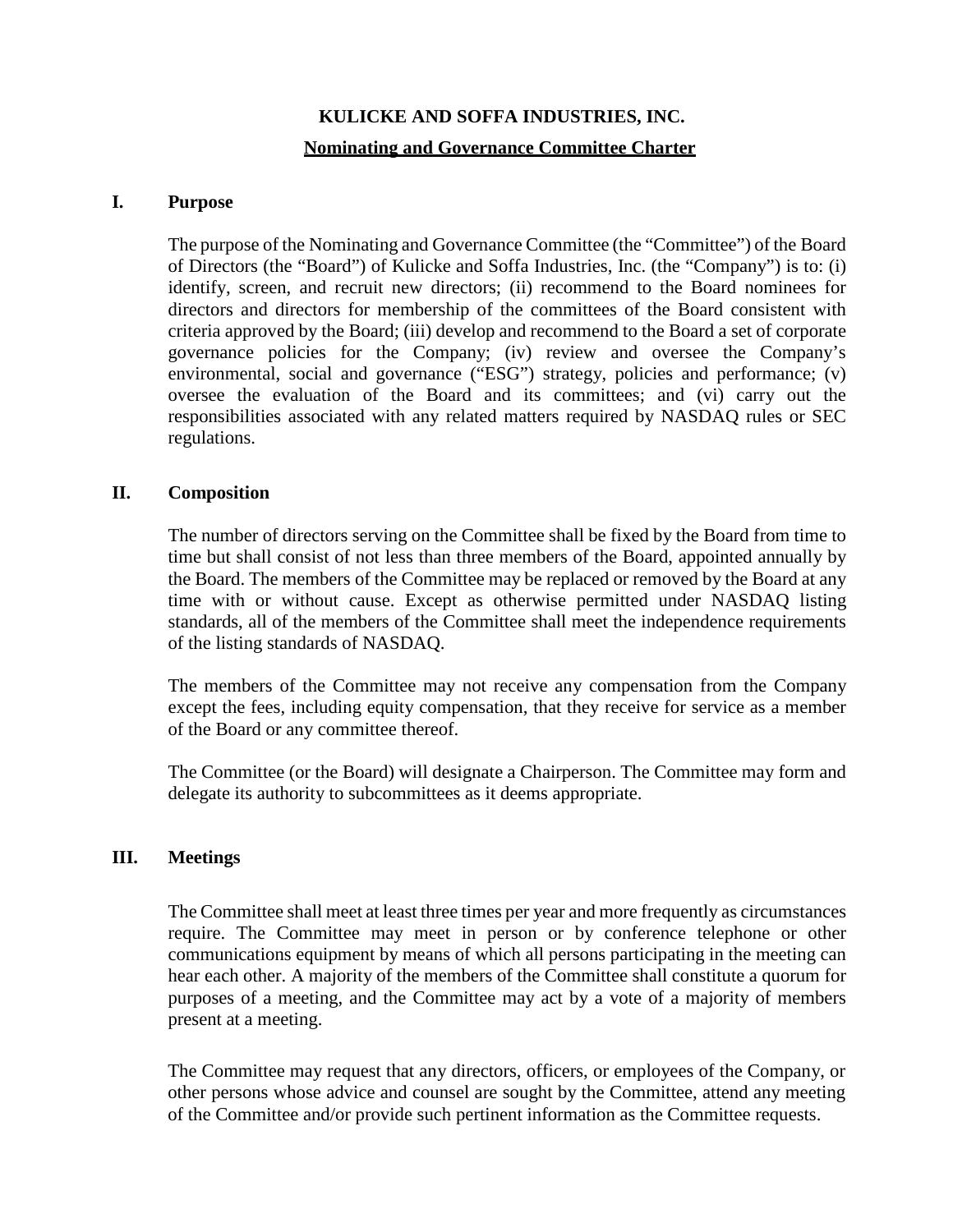# **KULICKE AND SOFFA INDUSTRIES, INC. Nominating and Governance Committee Charter**

### **I. Purpose**

The purpose of the Nominating and Governance Committee (the "Committee") of the Board of Directors (the "Board") of Kulicke and Soffa Industries, Inc. (the "Company") is to: (i) identify, screen, and recruit new directors; (ii) recommend to the Board nominees for directors and directors for membership of the committees of the Board consistent with criteria approved by the Board; (iii) develop and recommend to the Board a set of corporate governance policies for the Company; (iv) review and oversee the Company's environmental, social and governance ("ESG") strategy, policies and performance; (v) oversee the evaluation of the Board and its committees; and (vi) carry out the responsibilities associated with any related matters required by NASDAQ rules or SEC regulations.

### **II. Composition**

The number of directors serving on the Committee shall be fixed by the Board from time to time but shall consist of not less than three members of the Board, appointed annually by the Board. The members of the Committee may be replaced or removed by the Board at any time with or without cause. Except as otherwise permitted under NASDAQ listing standards, all of the members of the Committee shall meet the independence requirements of the listing standards of NASDAQ.

The members of the Committee may not receive any compensation from the Company except the fees, including equity compensation, that they receive for service as a member of the Board or any committee thereof.

The Committee (or the Board) will designate a Chairperson. The Committee may form and delegate its authority to subcommittees as it deems appropriate.

### **III. Meetings**

The Committee shall meet at least three times per year and more frequently as circumstances require. The Committee may meet in person or by conference telephone or other communications equipment by means of which all persons participating in the meeting can hear each other. A majority of the members of the Committee shall constitute a quorum for purposes of a meeting, and the Committee may act by a vote of a majority of members present at a meeting.

The Committee may request that any directors, officers, or employees of the Company, or other persons whose advice and counsel are sought by the Committee, attend any meeting of the Committee and/or provide such pertinent information as the Committee requests.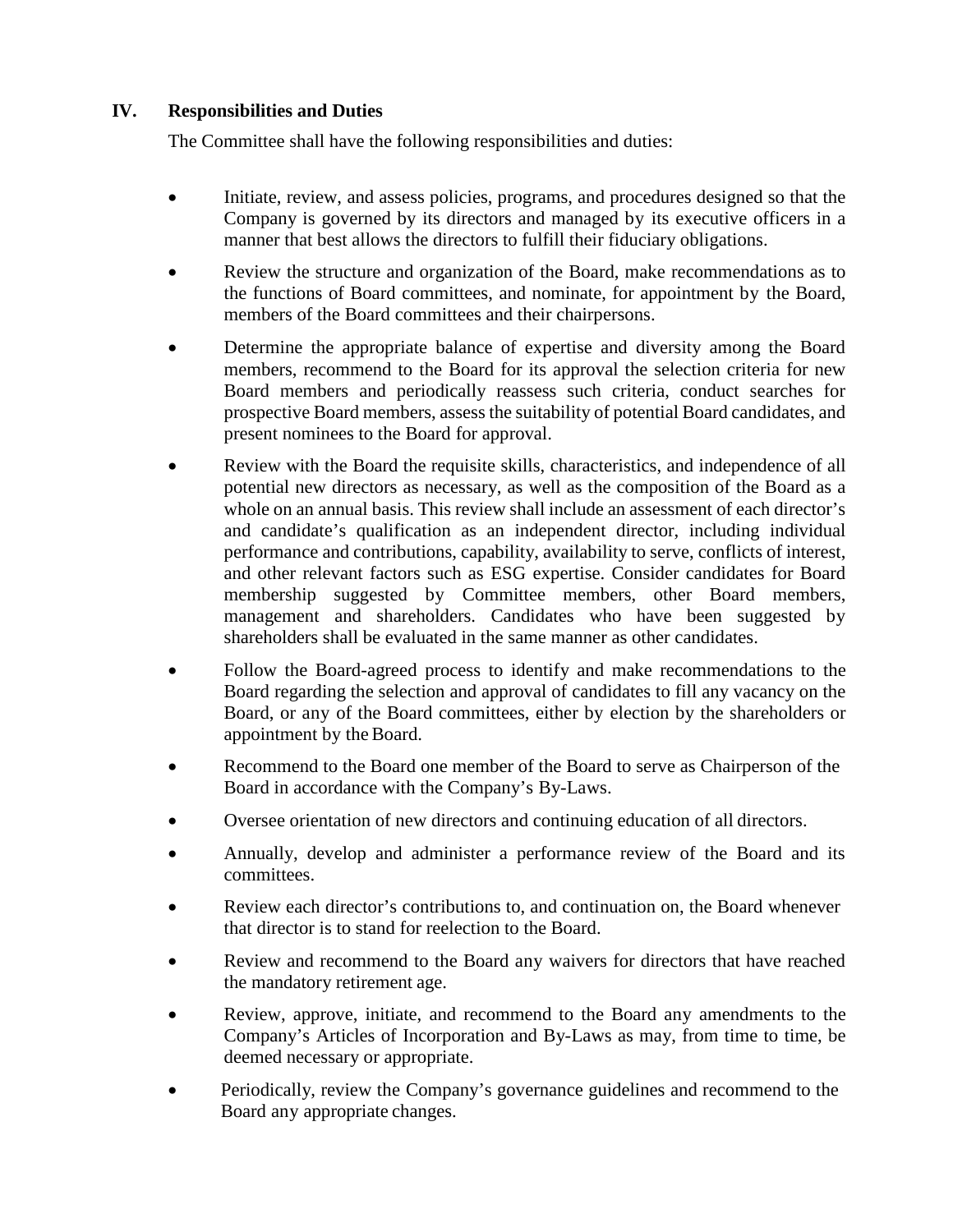## **IV. Responsibilities and Duties**

The Committee shall have the following responsibilities and duties:

- Initiate, review, and assess policies, programs, and procedures designed so that the Company is governed by its directors and managed by its executive officers in a manner that best allows the directors to fulfill their fiduciary obligations.
- Review the structure and organization of the Board, make recommendations as to the functions of Board committees, and nominate, for appointment by the Board, members of the Board committees and their chairpersons.
- Determine the appropriate balance of expertise and diversity among the Board members, recommend to the Board for its approval the selection criteria for new Board members and periodically reassess such criteria, conduct searches for prospective Board members, assess the suitability of potential Board candidates, and present nominees to the Board for approval.
- Review with the Board the requisite skills, characteristics, and independence of all potential new directors as necessary, as well as the composition of the Board as a whole on an annual basis. This review shall include an assessment of each director's and candidate's qualification as an independent director, including individual performance and contributions, capability, availability to serve, conflicts of interest, and other relevant factors such as ESG expertise. Consider candidates for Board membership suggested by Committee members, other Board members, management and shareholders. Candidates who have been suggested by shareholders shall be evaluated in the same manner as other candidates.
- Follow the Board-agreed process to identify and make recommendations to the Board regarding the selection and approval of candidates to fill any vacancy on the Board, or any of the Board committees, either by election by the shareholders or appointment by the Board.
- Recommend to the Board one member of the Board to serve as Chairperson of the Board in accordance with the Company's By-Laws.
- Oversee orientation of new directors and continuing education of all directors.
- Annually, develop and administer a performance review of the Board and its committees.
- Review each director's contributions to, and continuation on, the Board whenever that director is to stand for reelection to the Board.
- Review and recommend to the Board any waivers for directors that have reached the mandatory retirement age.
- Review, approve, initiate, and recommend to the Board any amendments to the Company's Articles of Incorporation and By-Laws as may, from time to time, be deemed necessary or appropriate.
- Periodically, review the Company's governance guidelines and recommend to the Board any appropriate changes.